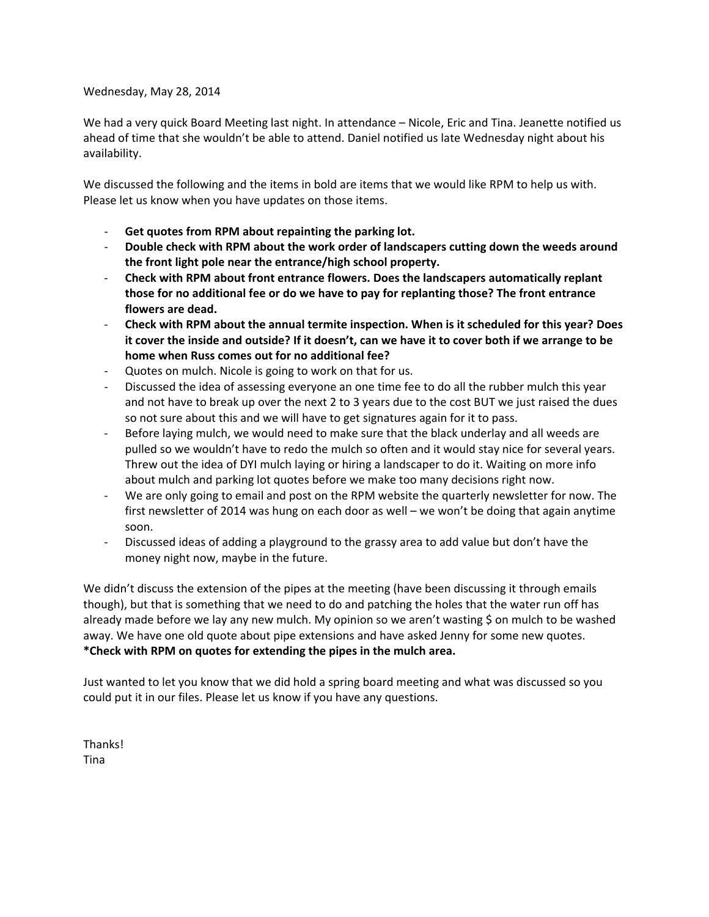#### Wednesday, May 28, 2014

We had a very quick Board Meeting last night. In attendance – Nicole, Eric and Tina. Jeanette notified us ahead of time that she wouldn't be able to attend. Daniel notified us late Wednesday night about his availability.

We discussed the following and the items in bold are items that we would like RPM to help us with. Please let us know when you have updates on those items.

- ‐ **Get quotes from RPM about repainting the parking lot.**
- ‐ **Double check with RPM about the work order of landscapers cutting down the weeds around the front light pole near the entrance/high school property.**
- ‐ **Check with RPM about front entrance flowers. Does the landscapers automatically replant those for no additional fee or do we have to pay for replanting those? The front entrance flowers are dead.**
- ‐ **Check with RPM about the annual termite inspection. When is it scheduled for this year? Does** it cover the inside and outside? If it doesn't, can we have it to cover both if we arrange to be **home when Russ comes out for no additional fee?**
- ‐ Quotes on mulch. Nicole is going to work on that for us.
- ‐ Discussed the idea of assessing everyone an one time fee to do all the rubber mulch this year and not have to break up over the next 2 to 3 years due to the cost BUT we just raised the dues so not sure about this and we will have to get signatures again for it to pass.
- Before laying mulch, we would need to make sure that the black underlay and all weeds are pulled so we wouldn't have to redo the mulch so often and it would stay nice for several years. Threw out the idea of DYI mulch laying or hiring a landscaper to do it. Waiting on more info about mulch and parking lot quotes before we make too many decisions right now.
- We are only going to email and post on the RPM website the quarterly newsletter for now. The first newsletter of 2014 was hung on each door as well – we won't be doing that again anytime soon.
- ‐ Discussed ideas of adding a playground to the grassy area to add value but don't have the money night now, maybe in the future.

We didn't discuss the extension of the pipes at the meeting (have been discussing it through emails though), but that is something that we need to do and patching the holes that the water run off has already made before we lay any new mulch. My opinion so we aren't wasting \$ on mulch to be washed away. We have one old quote about pipe extensions and have asked Jenny for some new quotes. **\*Check with RPM on quotes for extending the pipes in the mulch area.**

Just wanted to let you know that we did hold a spring board meeting and what was discussed so you could put it in our files. Please let us know if you have any questions.

Thanks! Tina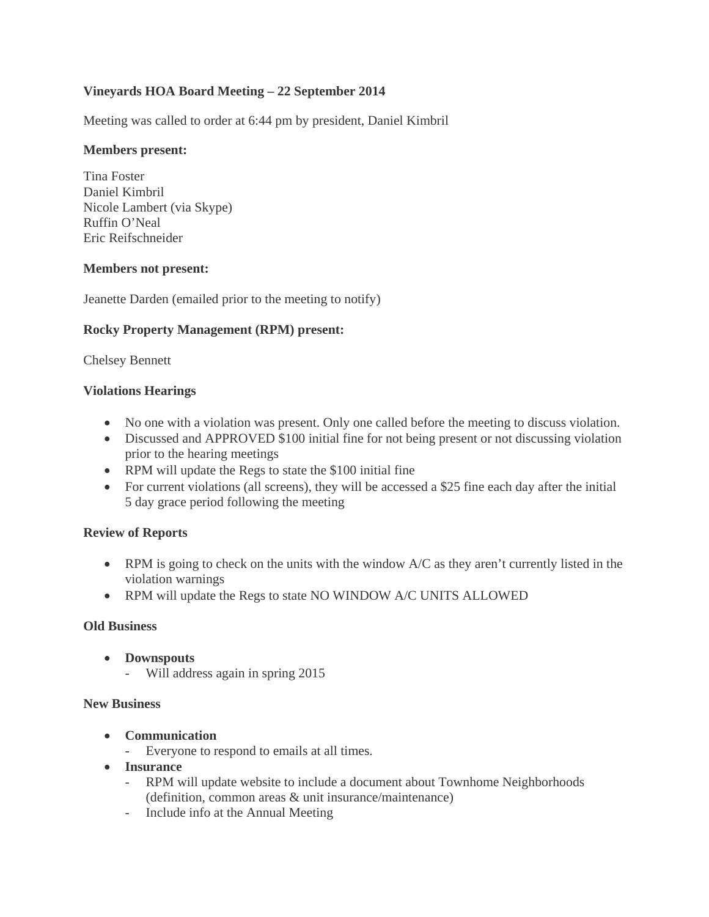# **Vineyards HOA Board Meeting – 22 September 2014**

Meeting was called to order at 6:44 pm by president, Daniel Kimbril

#### **Members present:**

Tina Foster Daniel Kimbril Nicole Lambert (via Skype) Ruffin O'Neal Eric Reifschneider

#### **Members not present:**

Jeanette Darden (emailed prior to the meeting to notify)

# **Rocky Property Management (RPM) present:**

Chelsey Bennett

#### **Violations Hearings**

- No one with a violation was present. Only one called before the meeting to discuss violation.
- Discussed and APPROVED \$100 initial fine for not being present or not discussing violation prior to the hearing meetings
- RPM will update the Regs to state the \$100 initial fine
- For current violations (all screens), they will be accessed a \$25 fine each day after the initial 5 day grace period following the meeting

# **Review of Reports**

- RPM is going to check on the units with the window A/C as they aren't currently listed in the violation warnings
- RPM will update the Regs to state NO WINDOW A/C UNITS ALLOWED

#### **Old Business**

- **Downspouts**
	- Will address again in spring 2015

#### **New Business**

- **Communication**
	- Everyone to respond to emails at all times.
- **Insurance**
	- RPM will update website to include a document about Townhome Neighborhoods (definition, common areas & unit insurance/maintenance)
	- Include info at the Annual Meeting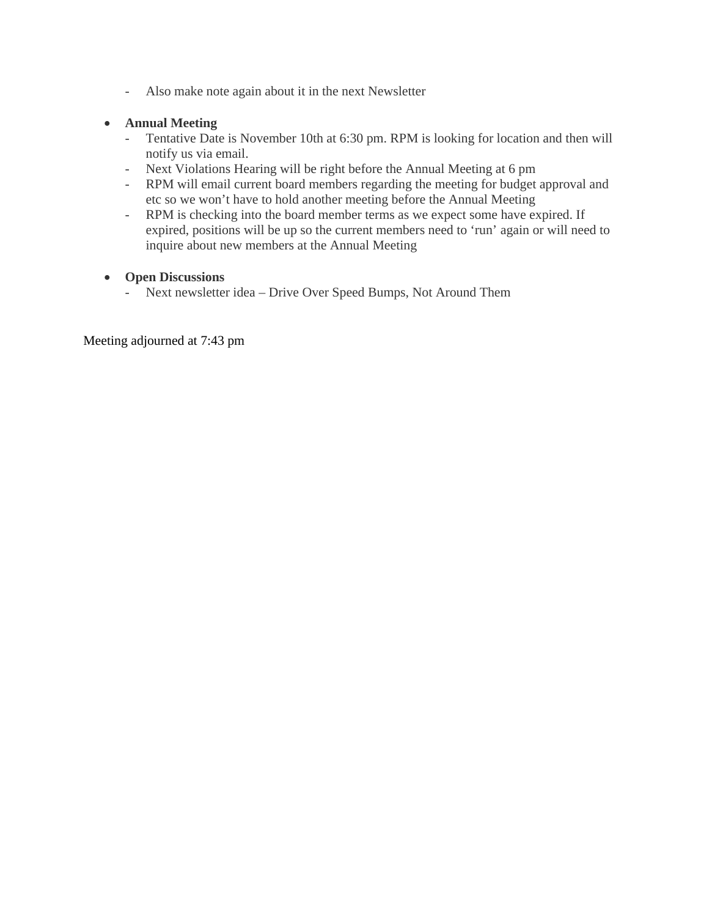- Also make note again about it in the next Newsletter

### **Annual Meeting**

- Tentative Date is November 10th at 6:30 pm. RPM is looking for location and then will notify us via email.
- Next Violations Hearing will be right before the Annual Meeting at 6 pm
- RPM will email current board members regarding the meeting for budget approval and etc so we won't have to hold another meeting before the Annual Meeting
- RPM is checking into the board member terms as we expect some have expired. If expired, positions will be up so the current members need to 'run' again or will need to inquire about new members at the Annual Meeting

#### **Open Discussions**

- Next newsletter idea – Drive Over Speed Bumps, Not Around Them

Meeting adjourned at 7:43 pm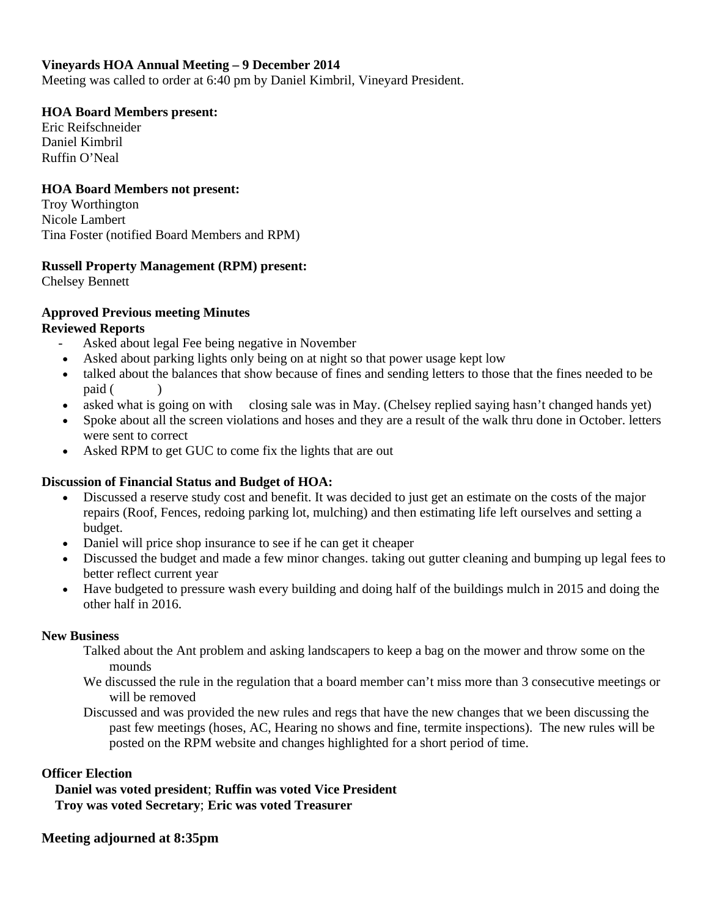# **Vineyards HOA Annual Meeting – 9 December 2014**

Meeting was called to order at 6:40 pm by Daniel Kimbril, Vineyard President.

# **HOA Board Members present:**

Eric Reifschneider Daniel Kimbril Ruffin O'Neal

# **HOA Board Members not present:**

Troy Worthington Nicole Lambert Tina Foster (notified Board Members and RPM)

# **Russell Property Management (RPM) present:**

Chelsey Bennett

# **Approved Previous meeting Minutes**

# **Reviewed Reports**

- Asked about legal Fee being negative in November
- Asked about parking lights only being on at night so that power usage kept low
- talked about the balances that show because of fines and sending letters to those that the fines needed to be paid ( )
- asked what is going on with closing sale was in May. (Chelsey replied saying hasn't changed hands yet)
- Spoke about all the screen violations and hoses and they are a result of the walk thru done in October. letters were sent to correct
- Asked RPM to get GUC to come fix the lights that are out

# **Discussion of Financial Status and Budget of HOA:**

- Discussed a reserve study cost and benefit. It was decided to just get an estimate on the costs of the major repairs (Roof, Fences, redoing parking lot, mulching) and then estimating life left ourselves and setting a budget.
- Daniel will price shop insurance to see if he can get it cheaper
- Discussed the budget and made a few minor changes. taking out gutter cleaning and bumping up legal fees to better reflect current year
- Have budgeted to pressure wash every building and doing half of the buildings mulch in 2015 and doing the other half in 2016.

# **New Business**

- Talked about the Ant problem and asking landscapers to keep a bag on the mower and throw some on the mounds
- We discussed the rule in the regulation that a board member can't miss more than 3 consecutive meetings or will be removed
- Discussed and was provided the new rules and regs that have the new changes that we been discussing the past few meetings (hoses, AC, Hearing no shows and fine, termite inspections). The new rules will be posted on the RPM website and changes highlighted for a short period of time.

# **Officer Election**

 **Daniel was voted president**; **Ruffin was voted Vice President Troy was voted Secretary**; **Eric was voted Treasurer**

# **Meeting adjourned at 8:35pm**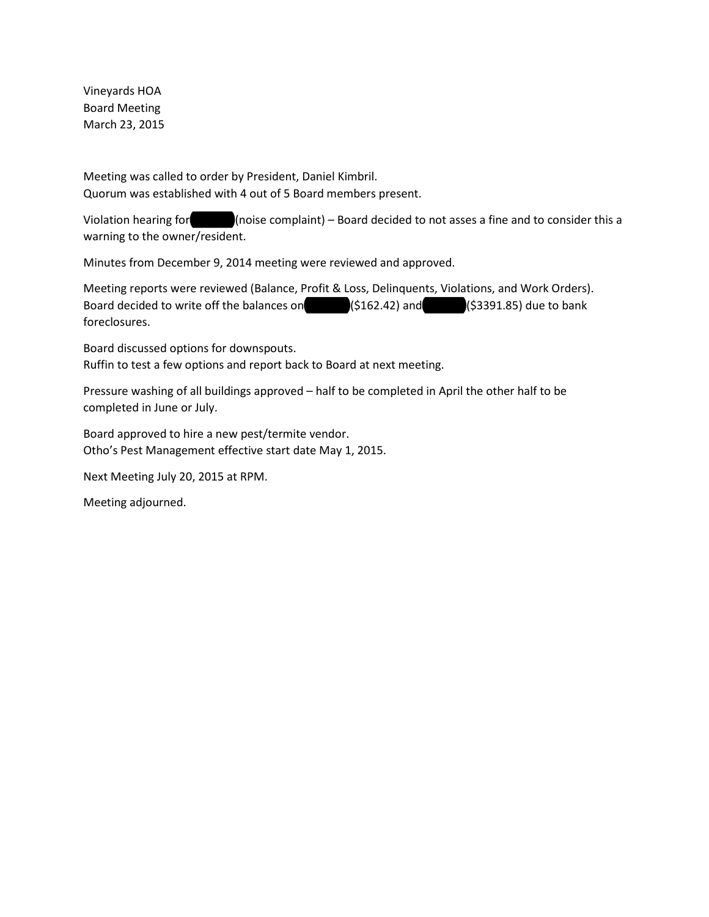Vineyards HOA Board Meeting March 23, 2015

Meeting was called to order by President, Daniel Kimbril. Quorum was established with 4 out of 5 Board members present.

Violation hearing for 2385-12 (noise complaint) – Board decided to not asses a fine and to consider this a warning to the owner/resident.

Minutes from December 9, 2014 meeting were reviewed and approved.

Meeting reports were reviewed (Balance, Profit & Loss, Delinquents, Violations, and Work Orders). Board decided to write off the balances on  $(5162.42)$  and  $(53391.85)$  due to bank foreclosures.

Board discussed options for downspouts. Ruffin to test a few options and report back to Board at next meeting.

Pressure washing of all buildings approved – half to be completed in April the other half to be completed in June or July.

Board approved to hire a new pest/termite vendor. Otho's Pest Management effective start date May 1, 2015.

Next Meeting July 20, 2015 at RPM.

Meeting adjourned.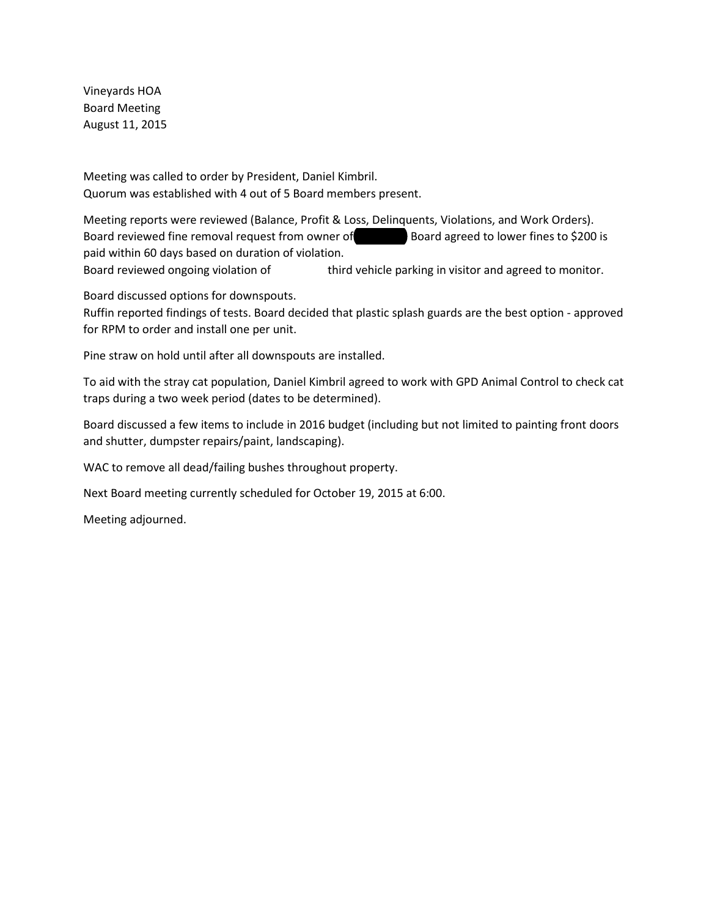Vineyards HOA Board Meeting August 11, 2015

Meeting was called to order by President, Daniel Kimbril. Quorum was established with 4 out of 5 Board members present.

Meeting reports were reviewed (Balance, Profit & Loss, Delinquents, Violations, and Work Orders). Board reviewed fine removal request from owner of **2300** Board agreed to lower fines to \$200 is paid within 60 days based on duration of violation.

Board reviewed ongoing violation of third vehicle parking in visitor and agreed to monitor.

Board discussed options for downspouts.

Ruffin reported findings of tests. Board decided that plastic splash guards are the best option - approved for RPM to order and install one per unit.

Pine straw on hold until after all downspouts are installed.

To aid with the stray cat population, Daniel Kimbril agreed to work with GPD Animal Control to check cat traps during a two week period (dates to be determined).

Board discussed a few items to include in 2016 budget (including but not limited to painting front doors and shutter, dumpster repairs/paint, landscaping).

WAC to remove all dead/failing bushes throughout property.

Next Board meeting currently scheduled for October 19, 2015 at 6:00.

Meeting adjourned.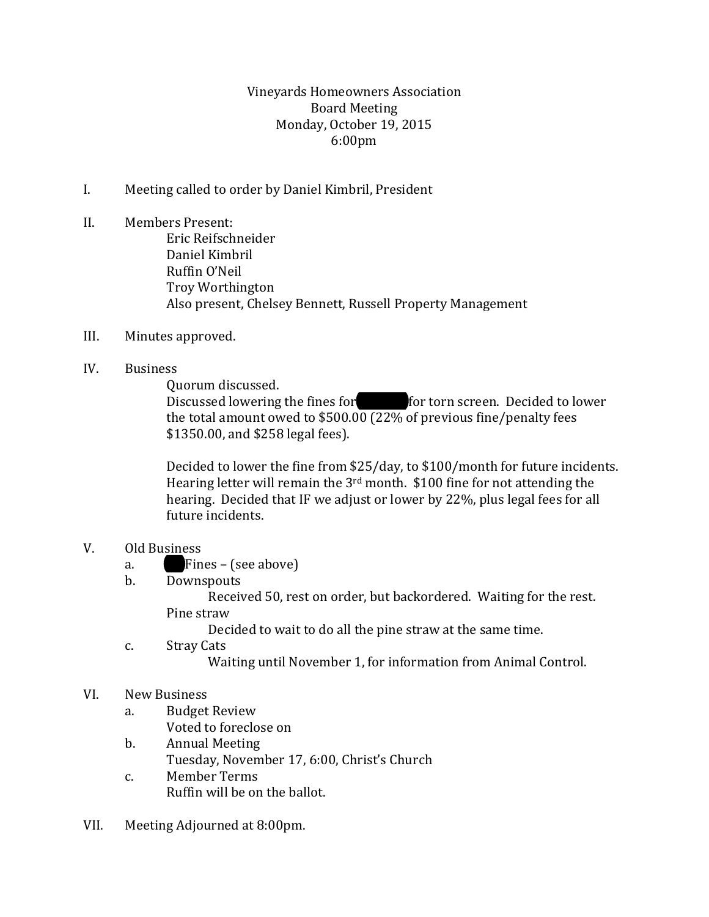# Vineyards Homeowners Association Board Meeting Monday, October 19, 2015 6:00pm

- I. Meeting called to order by Daniel Kimbril, President
- II. Members Present: Eric Reifschneider Daniel Kimbril Ruffin O'Neil Troy Worthington Also present, Chelsey Bennett, Russell Property Management
- III. Minutes approved.
- IV. Business

Quorum discussed.

Discussed lowering the fines for **Lindsay for torn screen.** Decided to lower the total amount owed to \$500.00 (22% of previous fine/penalty fees \$1350.00, and \$258 legal fees).

Decided to lower the fine from \$25/day, to \$100/month for future incidents. Hearing letter will remain the 3rd month. \$100 fine for not attending the hearing. Decided that IF we adjust or lower by 22%, plus legal fees for all future incidents.

# V. Old Business<br>a. **Fin**

- a.  $\blacksquare$  Fines (see above)<br>b. Downspouts
- **Downspouts**

Received 50, rest on order, but backordered. Waiting for the rest. Pine straw

Decided to wait to do all the pine straw at the same time.

c. Stray Cats

Waiting until November 1, for information from Animal Control.

# VI. New Business

- a. Budget Review
	- Voted to foreclose on
- b. Annual Meeting Tuesday, November 17, 6:00, Christ's Church
- c. Member Terms Ruffin will be on the ballot.
- VII. Meeting Adjourned at 8:00pm.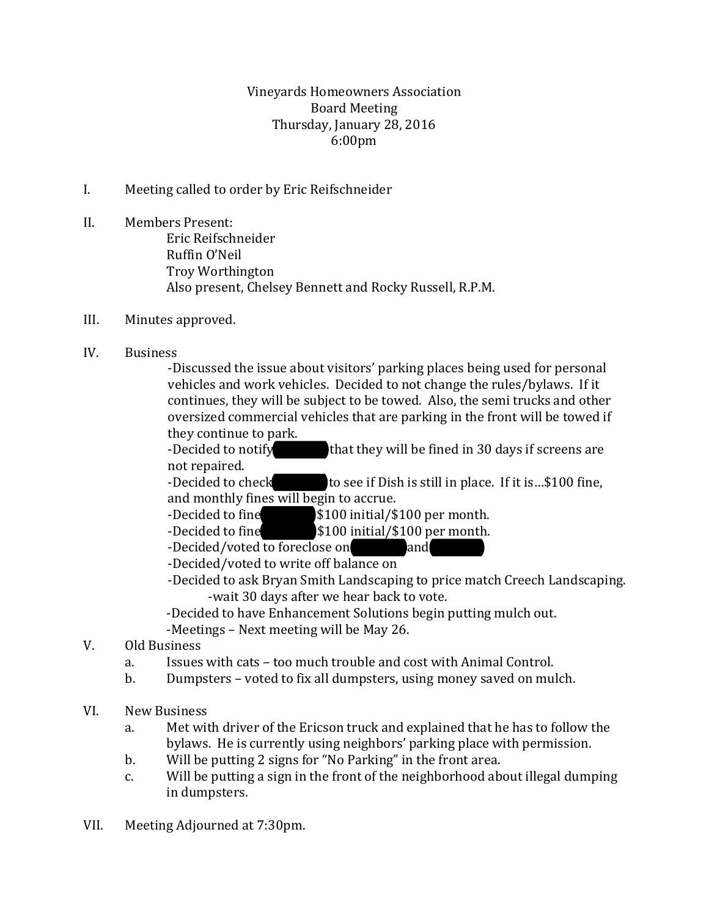# Vineyards Homeowners Association Board Meeting Thursday, January 28, 2016 6:00pm

- I. Meeting called to order by Eric Reifschneider
- II. Members Present: Eric Reifschneider Ruffin O'Neil Troy Worthington Also present, Chelsey Bennett and Rocky Russell, R.P.M.
- III. Minutes approved.
- IV. Business

-Discussed the issue about visitors' parking places being used for personal vehicles and work vehicles. Decided to not change the rules/bylaws. If it continues, they will be subject to be towed. Also, the semi trucks and other oversized commercial vehicles that are parking in the front will be towed if they continue to park.

-Decided to notify that they will be fined in 30 days if screens are not repaired.

-Decided to check to see if Dish is still in place. If it is...\$100 fine, and monthly fines will begin to accrue.<br>-Decided to fine \$100 initial/\$

- -Decided to fine **2008** \\$100 initial/\$100 per month.<br>23100 initial/\$100 per month.
- $$100$  initial/ $$100$  per month.<br>ose on and

-Decided/voted to foreclose on

-Decided/voted to write off balance on

- -Decided to ask Bryan Smith Landscaping to price match Creech Landscaping. -wait 30 days after we hear back to vote.
- -Decided to have Enhancement Solutions begin putting mulch out.
- -Meetings Next meeting will be May 26.
- V. Old Business
	- a. Issues with cats too much trouble and cost with Animal Control.<br>b. Dumnsters voted to fix all dumnsters, using money saved on mul
	- b. Dumpsters voted to fix all dumpsters, using money saved on mulch.
- VI. New Business
	- a. Met with driver of the Ericson truck and explained that he has to follow the bylaws. He is currently using neighbors' parking place with permission.
	- b. Will be putting 2 signs for "No Parking" in the front area.<br>c. Will be putting a sign in the front of the neighborhood ab
	- Will be putting a sign in the front of the neighborhood about illegal dumping in dumpsters.
- VII. Meeting Adjourned at 7:30pm.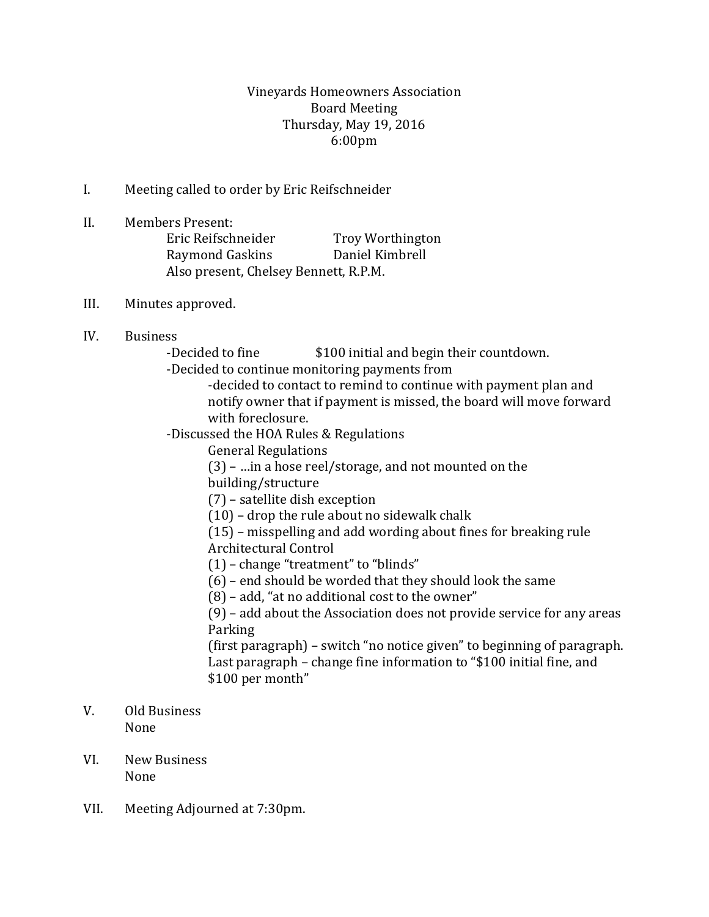# Vineyards Homeowners Association Board Meeting Thursday, May 19, 2016 6:00pm

- I. Meeting called to order by Eric Reifschneider
- II. Members Present: Eric Reifschneider Troy Worthington Raymond Gaskins Daniel Kimbrell Also present, Chelsey Bennett, R.P.M.
- III. Minutes approved.
- IV. Business

-Decided to fine  $$100$  initial and begin their countdown.

- -Decided to continue monitoring payments from
	- -decided to contact to remind to continue with payment plan and notify owner that if payment is missed, the board will move forward with foreclosure.
- -Discussed the HOA Rules & Regulations
	- General Regulations
	- (3) …in a hose reel/storage, and not mounted on the

building/structure

(7) – satellite dish exception

(10) – drop the rule about no sidewalk chalk

(15) – misspelling and add wording about fines for breaking rule Architectural Control

- (1) change "treatment" to "blinds"
- (6) end should be worded that they should look the same

(8) – add, "at no additional cost to the owner"

(9) – add about the Association does not provide service for any areas Parking

(first paragraph) – switch "no notice given" to beginning of paragraph. Last paragraph – change fine information to "\$100 initial fine, and \$100 per month"

- V. Old Business None
- VI. New Business None
- VII. Meeting Adjourned at 7:30pm.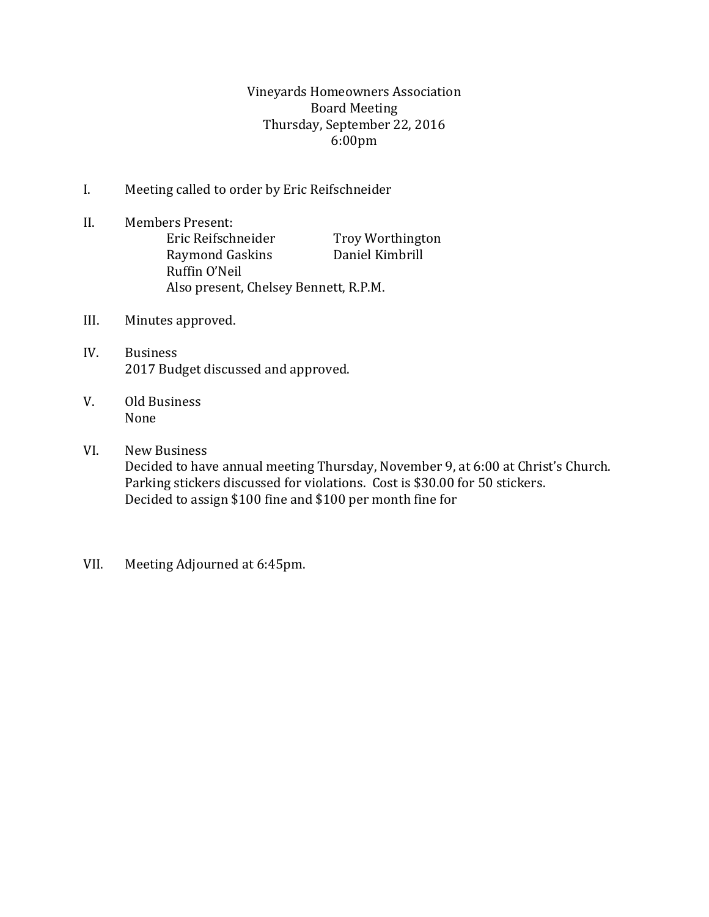# Vineyards Homeowners Association Board Meeting Thursday, September 22, 2016 6:00pm

- I. Meeting called to order by Eric Reifschneider
- II. Members Present: Eric Reifschneider Troy Worthington Raymond Gaskins Daniel Kimbrill Ruffin O'Neil Also present, Chelsey Bennett, R.P.M.
- III. Minutes approved.
- IV. Business 2017 Budget discussed and approved.
- V. Old Business None

# VI. New Business

Decided to have annual meeting Thursday, November 9, at 6:00 at Christ's Church. Parking stickers discussed for violations. Cost is \$30.00 for 50 stickers. Decided to assign \$100 fine and \$100 per month fine for

VII. Meeting Adjourned at 6:45pm.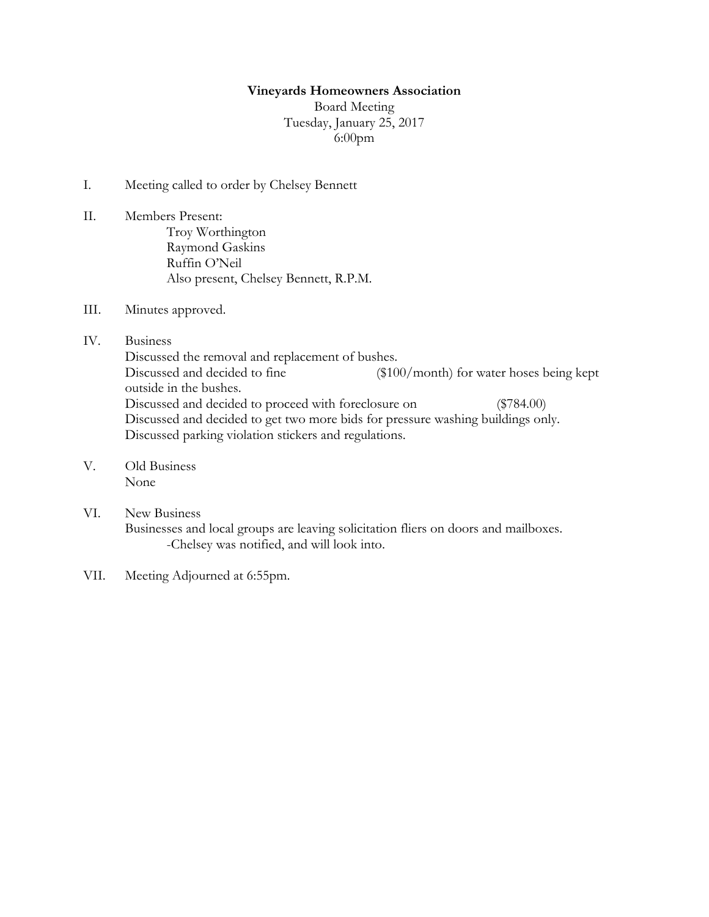#### **Vineyards Homeowners Association**

Board Meeting Tuesday, January 25, 2017 6:00pm

- I. Meeting called to order by Chelsey Bennett
- II. Members Present: Troy Worthington Raymond Gaskins Ruffin O'Neil Also present, Chelsey Bennett, R.P.M.
- III. Minutes approved.
- IV. Business

Discussed the removal and replacement of bushes. Discussed and decided to fine (\$100/month) for water hoses being kept outside in the bushes. Discussed and decided to proceed with foreclosure on (\$784.00) Discussed and decided to get two more bids for pressure washing buildings only. Discussed parking violation stickers and regulations.

- V. Old Business None
- VI. New Business Businesses and local groups are leaving solicitation fliers on doors and mailboxes. -Chelsey was notified, and will look into.
- VII. Meeting Adjourned at 6:55pm.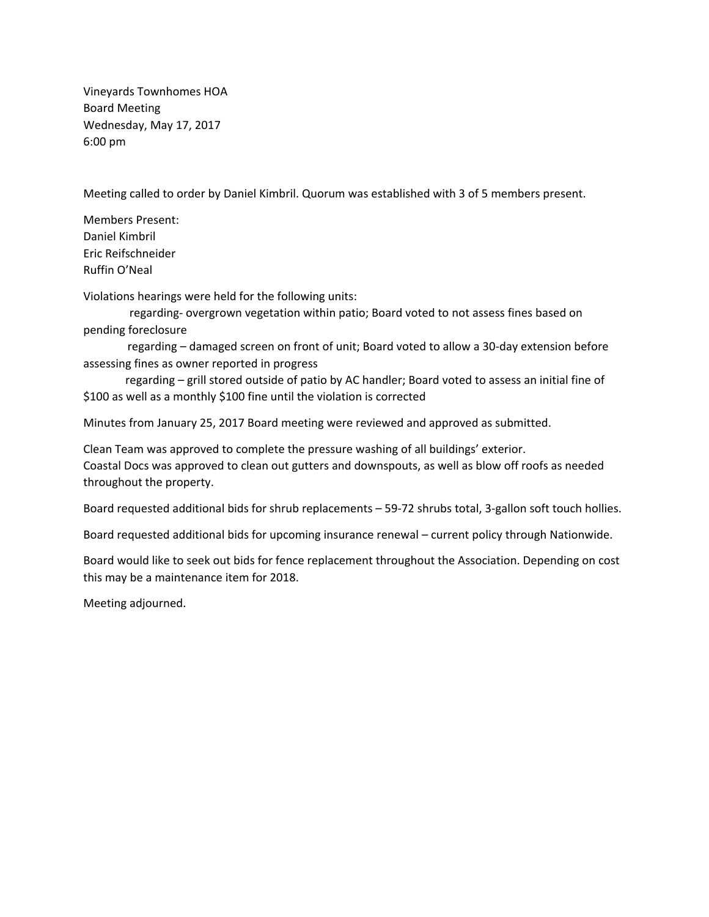Vineyards Townhomes HOA Board Meeting Wednesday, May 17, 2017 6:00 pm

Meeting called to order by Daniel Kimbril. Quorum was established with 3 of 5 members present.

Members Present: Daniel Kimbril Eric Reifschneider Ruffin O'Neal

Violations hearings were held for the following units:

regarding- overgrown vegetation within patio; Board voted to not assess fines based on pending foreclosure

regarding – damaged screen on front of unit; Board voted to allow a 30-day extension before assessing fines as owner reported in progress

regarding – grill stored outside of patio by AC handler; Board voted to assess an initial fine of \$100 as well as a monthly \$100 fine until the violation is corrected

Minutes from January 25, 2017 Board meeting were reviewed and approved as submitted.

Clean Team was approved to complete the pressure washing of all buildings' exterior. Coastal Docs was approved to clean out gutters and downspouts, as well as blow off roofs as needed throughout the property.

Board requested additional bids for shrub replacements – 59‐72 shrubs total, 3‐gallon soft touch hollies.

Board requested additional bids for upcoming insurance renewal – current policy through Nationwide.

Board would like to seek out bids for fence replacement throughout the Association. Depending on cost this may be a maintenance item for 2018.

Meeting adjourned.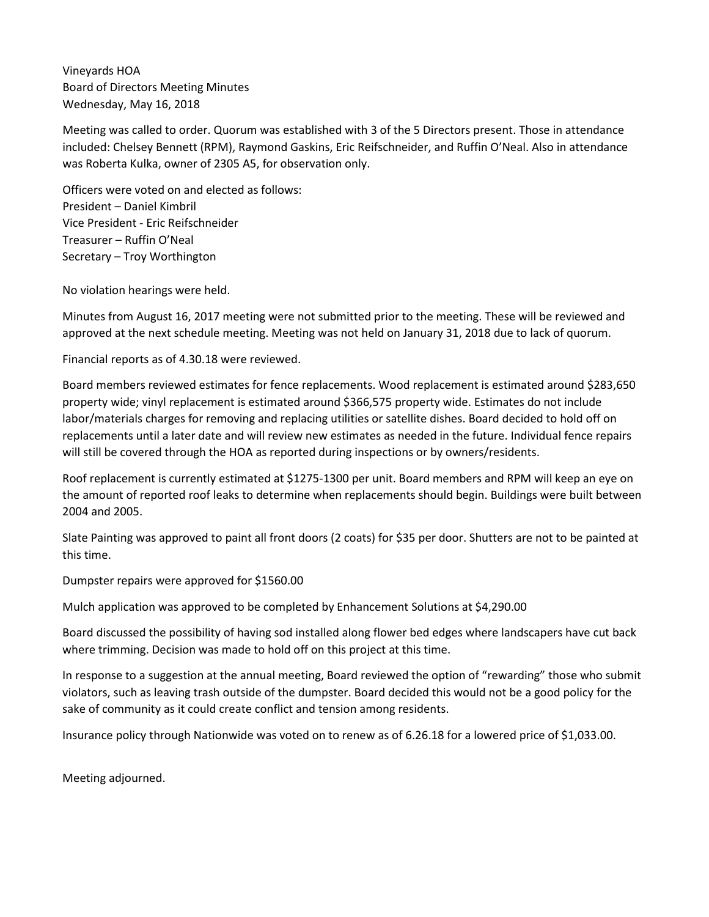Vineyards HOA Board of Directors Meeting Minutes Wednesday, May 16, 2018

Meeting was called to order. Quorum was established with 3 of the 5 Directors present. Those in attendance included: Chelsey Bennett (RPM), Raymond Gaskins, Eric Reifschneider, and Ruffin O'Neal. Also in attendance was Roberta Kulka, owner of 2305 A5, for observation only.

Officers were voted on and elected as follows: President – Daniel Kimbril Vice President - Eric Reifschneider Treasurer – Ruffin O'Neal Secretary – Troy Worthington

No violation hearings were held.

Minutes from August 16, 2017 meeting were not submitted prior to the meeting. These will be reviewed and approved at the next schedule meeting. Meeting was not held on January 31, 2018 due to lack of quorum.

Financial reports as of 4.30.18 were reviewed.

Board members reviewed estimates for fence replacements. Wood replacement is estimated around \$283,650 property wide; vinyl replacement is estimated around \$366,575 property wide. Estimates do not include labor/materials charges for removing and replacing utilities or satellite dishes. Board decided to hold off on replacements until a later date and will review new estimates as needed in the future. Individual fence repairs will still be covered through the HOA as reported during inspections or by owners/residents.

Roof replacement is currently estimated at \$1275-1300 per unit. Board members and RPM will keep an eye on the amount of reported roof leaks to determine when replacements should begin. Buildings were built between 2004 and 2005.

Slate Painting was approved to paint all front doors (2 coats) for \$35 per door. Shutters are not to be painted at this time.

Dumpster repairs were approved for \$1560.00

Mulch application was approved to be completed by Enhancement Solutions at \$4,290.00

Board discussed the possibility of having sod installed along flower bed edges where landscapers have cut back where trimming. Decision was made to hold off on this project at this time.

In response to a suggestion at the annual meeting, Board reviewed the option of "rewarding" those who submit violators, such as leaving trash outside of the dumpster. Board decided this would not be a good policy for the sake of community as it could create conflict and tension among residents.

Insurance policy through Nationwide was voted on to renew as of 6.26.18 for a lowered price of \$1,033.00.

Meeting adjourned.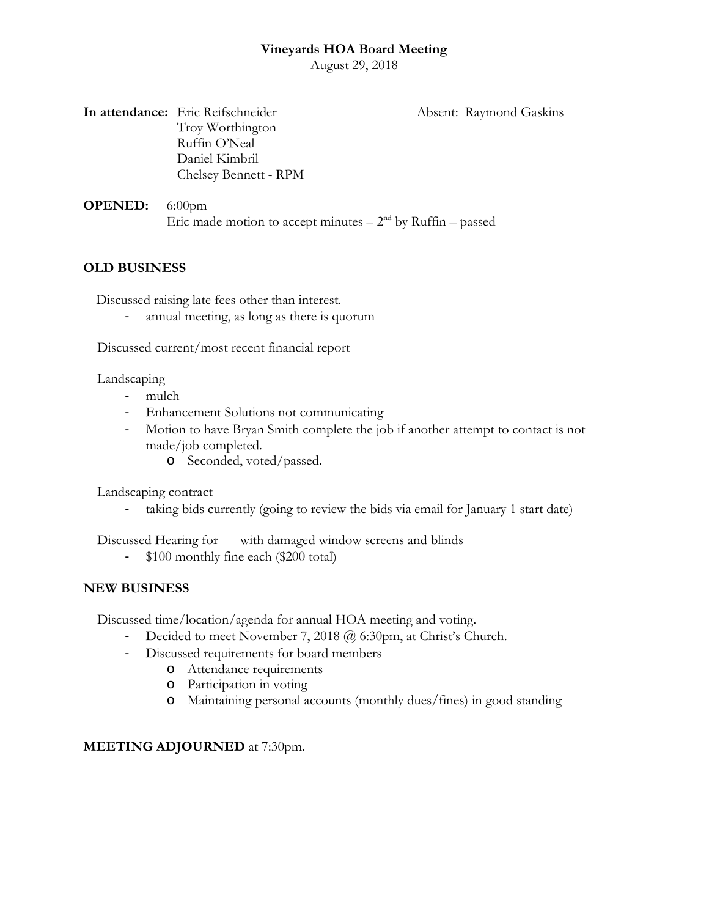August 29, 2018

**In attendance:** Eric Reifschneider **Absent: Raymond Gaskins** Troy Worthington Ruffin O'Neal Daniel Kimbril Chelsey Bennett - RPM

**OPENED:** 6:00pm Eric made motion to accept minutes  $-2<sup>nd</sup>$  by Ruffin – passed

# **OLD BUSINESS**

Discussed raising late fees other than interest.

annual meeting, as long as there is quorum

Discussed current/most recent financial report

Landscaping

- mulch
- Enhancement Solutions not communicating
- Motion to have Bryan Smith complete the job if another attempt to contact is not made/job completed.
	- o Seconded, voted/passed.

Landscaping contract

- taking bids currently (going to review the bids via email for January 1 start date)

Discussed Hearing for with damaged window screens and blinds

- \$100 monthly fine each (\$200 total)

# **NEW BUSINESS**

Discussed time/location/agenda for annual HOA meeting and voting.

- Decided to meet November 7, 2018 @ 6:30pm, at Christ's Church.
- Discussed requirements for board members
	- o Attendance requirements
	- o Participation in voting
	- o Maintaining personal accounts (monthly dues/fines) in good standing

# **MEETING ADJOURNED** at 7:30pm.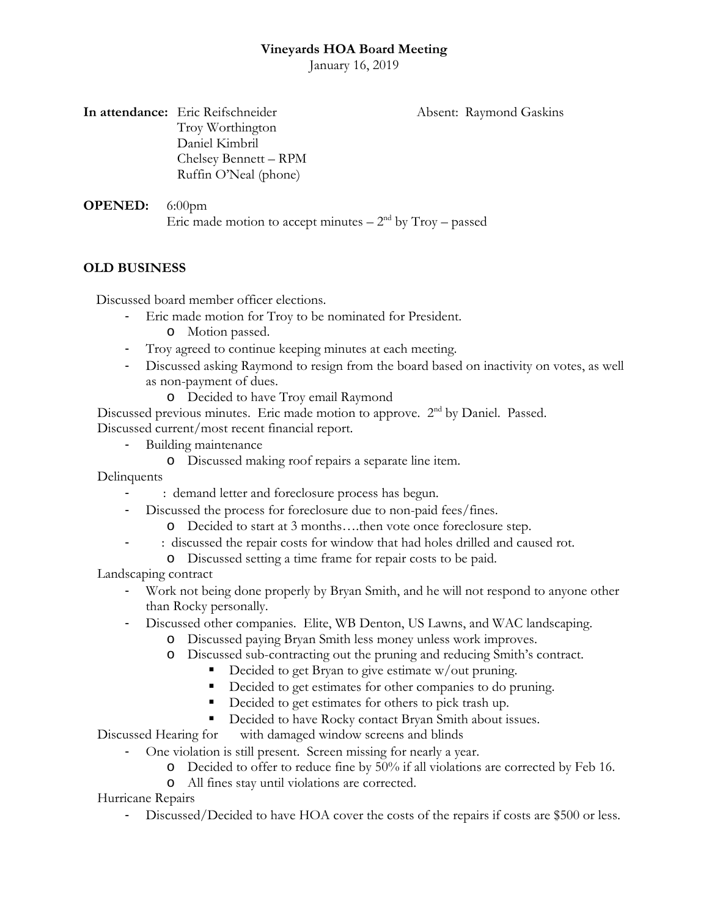January 16, 2019

**In attendance:** Eric Reifschneider **Absent: Raymond Gaskins** Troy Worthington Daniel Kimbril Chelsey Bennett – RPM Ruffin O'Neal (phone)

**OPENED:** 6:00pm Eric made motion to accept minutes  $-2<sup>nd</sup>$  by Troy – passed

# **OLD BUSINESS**

Discussed board member officer elections.

- Eric made motion for Troy to be nominated for President.
	- o Motion passed.
- Troy agreed to continue keeping minutes at each meeting.
- Discussed asking Raymond to resign from the board based on inactivity on votes, as well as non-payment of dues.
	- o Decided to have Troy email Raymond

Discussed previous minutes. Eric made motion to approve. 2<sup>nd</sup> by Daniel. Passed. Discussed current/most recent financial report.

- Building maintenance
	- o Discussed making roof repairs a separate line item.

**Delinquents** 

- : demand letter and foreclosure process has begun.
- Discussed the process for foreclosure due to non-paid fees/fines.
	- o Decided to start at 3 months….then vote once foreclosure step.
	- : discussed the repair costs for window that had holes drilled and caused rot.
		- o Discussed setting a time frame for repair costs to be paid.

Landscaping contract

- Work not being done properly by Bryan Smith, and he will not respond to anyone other than Rocky personally.
- Discussed other companies. Elite, WB Denton, US Lawns, and WAC landscaping.
	- o Discussed paying Bryan Smith less money unless work improves.
	- o Discussed sub-contracting out the pruning and reducing Smith's contract.
		- Decided to get Bryan to give estimate  $w/$  out pruning.
		- Decided to get estimates for other companies to do pruning.
		- Decided to get estimates for others to pick trash up.
		- Decided to have Rocky contact Bryan Smith about issues.

Discussed Hearing for with damaged window screens and blinds

- One violation is still present. Screen missing for nearly a year.
	- o Decided to offer to reduce fine by 50% if all violations are corrected by Feb 16.
	- o All fines stay until violations are corrected.

Hurricane Repairs

- Discussed/Decided to have HOA cover the costs of the repairs if costs are \$500 or less.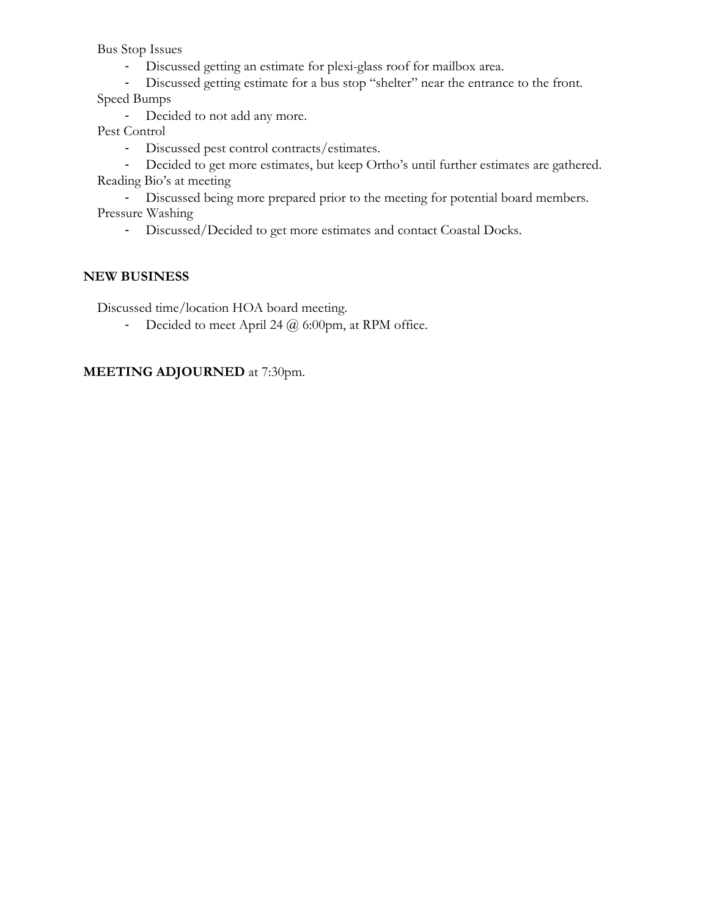Bus Stop Issues

- Discussed getting an estimate for plexi-glass roof for mailbox area.
- Discussed getting estimate for a bus stop "shelter" near the entrance to the front. Speed Bumps
	- Decided to not add any more.

Pest Control

- Discussed pest control contracts/estimates.
- Decided to get more estimates, but keep Ortho's until further estimates are gathered. Reading Bio's at meeting
- Discussed being more prepared prior to the meeting for potential board members. Pressure Washing
	- Discussed/Decided to get more estimates and contact Coastal Docks.

# **NEW BUSINESS**

Discussed time/location HOA board meeting.

- Decided to meet April 24  $@$  6:00pm, at RPM office.

# **MEETING ADJOURNED** at 7:30pm.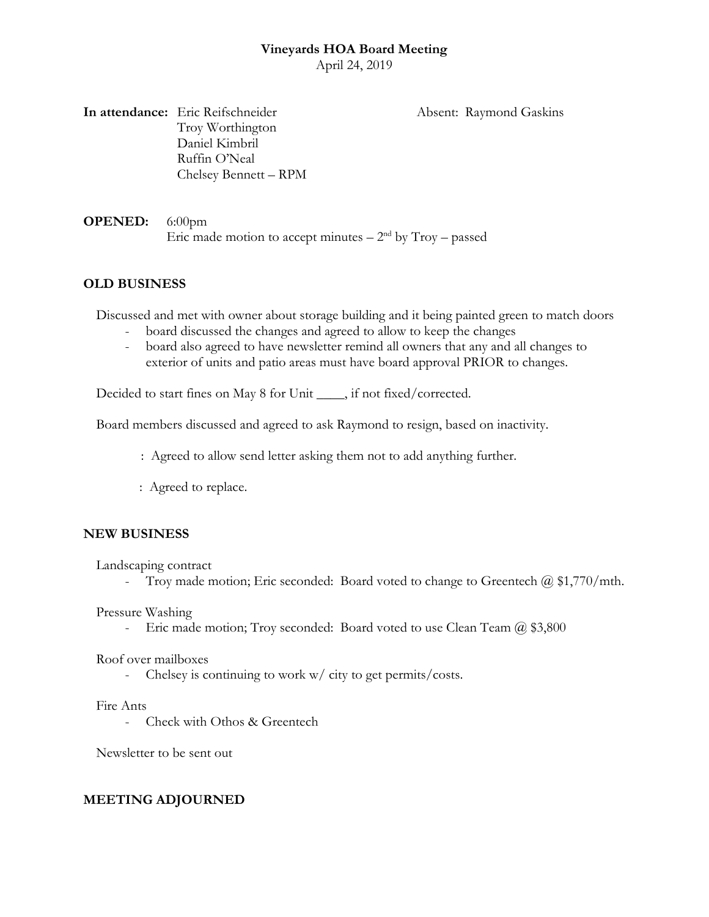April 24, 2019

**In attendance:** Eric Reifschneider Absent: Raymond Gaskins Troy Worthington Daniel Kimbril Ruffin O'Neal Chelsey Bennett – RPM

**OPENED:** 6:00pm Eric made motion to accept minutes  $-2<sup>nd</sup>$  by Troy – passed

# **OLD BUSINESS**

Discussed and met with owner about storage building and it being painted green to match doors

- board discussed the changes and agreed to allow to keep the changes
- board also agreed to have newsletter remind all owners that any and all changes to exterior of units and patio areas must have board approval PRIOR to changes.

Decided to start fines on May 8 for Unit \_\_\_\_, if not fixed/corrected.

Board members discussed and agreed to ask Raymond to resign, based on inactivity.

- : Agreed to allow send letter asking them not to add anything further.
- : Agreed to replace.

# **NEW BUSINESS**

Landscaping contract

- Troy made motion; Eric seconded: Board voted to change to Greentech  $\omega$  \$1,770/mth.

Pressure Washing

- Eric made motion; Troy seconded: Board voted to use Clean Team @ \$3,800

Roof over mailboxes

- Chelsey is continuing to work w/ city to get permits/costs.

# Fire Ants

- Check with Othos & Greentech

Newsletter to be sent out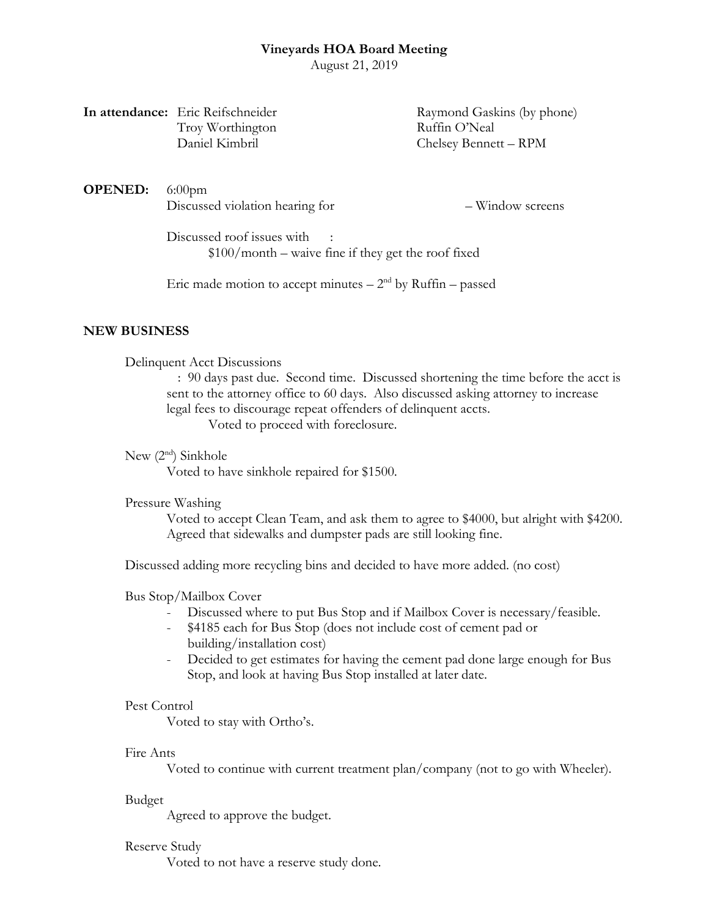August 21, 2019

| In attendance: Eric Reifschneider |
|-----------------------------------|
| Troy Worthington                  |
| Daniel Kimbril                    |

Raymond Gaskins (by phone) Ruffin O'Neal Chelsey Bennett – RPM

**OPENED:** 6:00pm Discussed violation hearing for  $-$  Window screens

Discussed roof issues with \$100/month – waive fine if they get the roof fixed

Eric made motion to accept minutes  $-2<sup>nd</sup>$  by Ruffin – passed

#### **NEW BUSINESS**

Delinquent Acct Discussions

: 90 days past due. Second time. Discussed shortening the time before the acct is sent to the attorney office to 60 days. Also discussed asking attorney to increase legal fees to discourage repeat offenders of delinquent accts. Voted to proceed with foreclosure.

New  $(2<sup>nd</sup>)$  Sinkhole

Voted to have sinkhole repaired for \$1500.

#### Pressure Washing

Voted to accept Clean Team, and ask them to agree to \$4000, but alright with \$4200. Agreed that sidewalks and dumpster pads are still looking fine.

Discussed adding more recycling bins and decided to have more added. (no cost)

#### Bus Stop/Mailbox Cover

- Discussed where to put Bus Stop and if Mailbox Cover is necessary/feasible.
- \$4185 each for Bus Stop (does not include cost of cement pad or building/installation cost)
- Decided to get estimates for having the cement pad done large enough for Bus Stop, and look at having Bus Stop installed at later date.

#### Pest Control

Voted to stay with Ortho's.

#### Fire Ants

Voted to continue with current treatment plan/company (not to go with Wheeler).

#### Budget

Agreed to approve the budget.

#### Reserve Study

Voted to not have a reserve study done.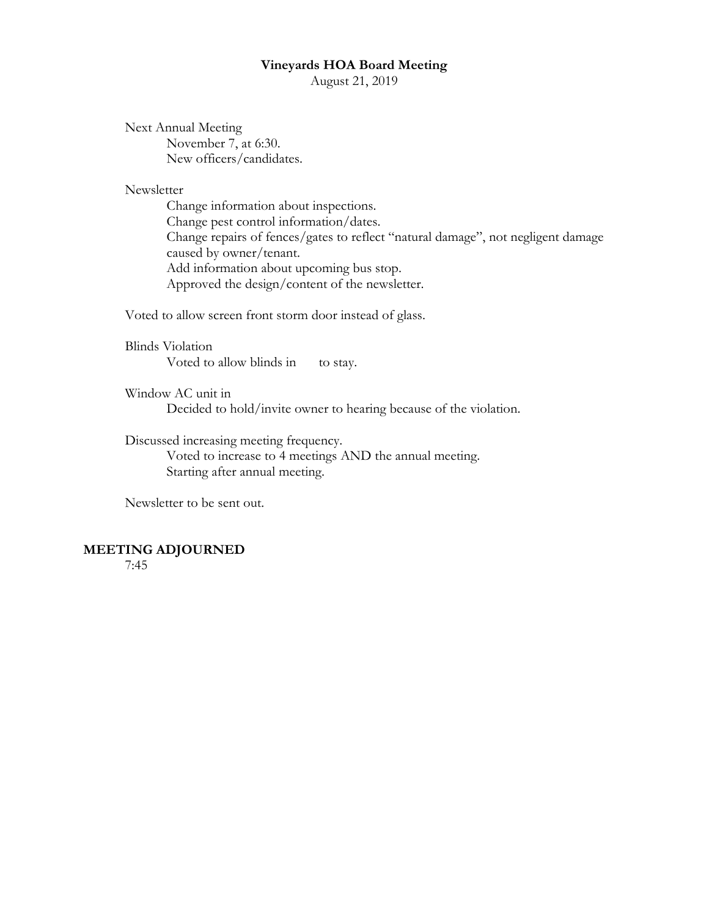August 21, 2019

Next Annual Meeting November 7, at 6:30. New officers/candidates.

Newsletter

Change information about inspections. Change pest control information/dates. Change repairs of fences/gates to reflect "natural damage", not negligent damage caused by owner/tenant. Add information about upcoming bus stop. Approved the design/content of the newsletter.

Voted to allow screen front storm door instead of glass.

Blinds Violation Voted to allow blinds in to stay.

Window AC unit in Decided to hold/invite owner to hearing because of the violation.

Discussed increasing meeting frequency.

Voted to increase to 4 meetings AND the annual meeting. Starting after annual meeting.

Newsletter to be sent out.

#### **MEETING ADJOURNED**

7:45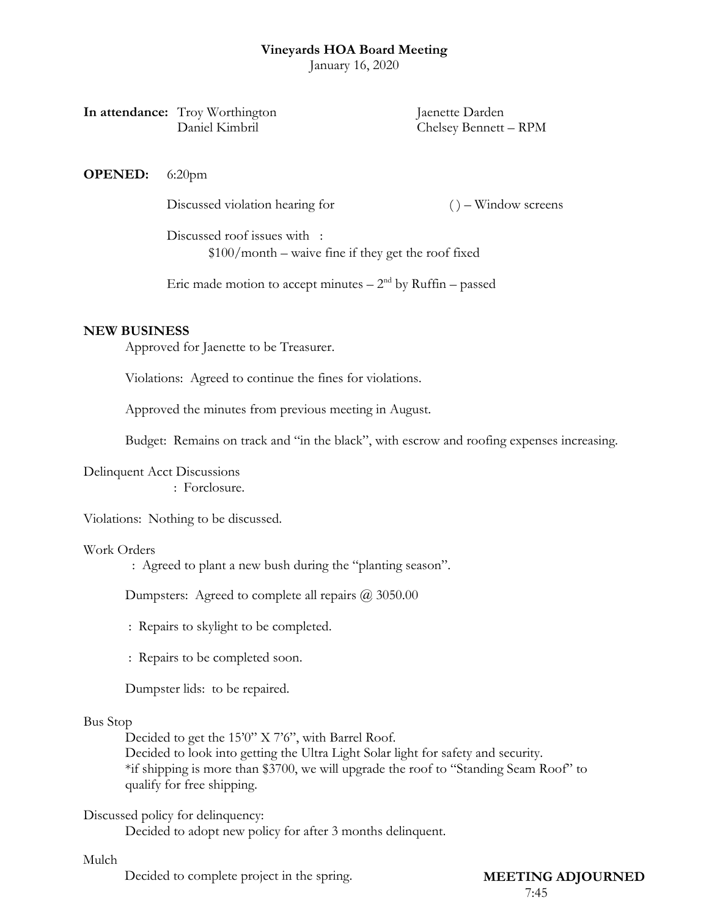January 16, 2020

| In attendance: Troy Worthington | Jaenette Darden       |
|---------------------------------|-----------------------|
| Daniel Kimbril                  | Chelsey Bennett – RPM |

**OPENED:** 6:20pm

Discussed violation hearing for ( ) – Window screens

Discussed roof issues with : \$100/month – waive fine if they get the roof fixed

Eric made motion to accept minutes  $-2<sup>nd</sup>$  by Ruffin – passed

#### **NEW BUSINESS**

Approved for Jaenette to be Treasurer.

Violations: Agreed to continue the fines for violations.

Approved the minutes from previous meeting in August.

Budget: Remains on track and "in the black", with escrow and roofing expenses increasing.

Delinquent Acct Discussions

: Forclosure.

Violations: Nothing to be discussed.

#### Work Orders

: Agreed to plant a new bush during the "planting season".

Dumpsters: Agreed to complete all repairs @ 3050.00

: Repairs to skylight to be completed.

: Repairs to be completed soon.

Dumpster lids: to be repaired.

#### Bus Stop

Decided to get the 15'0" X 7'6", with Barrel Roof.

Decided to look into getting the Ultra Light Solar light for safety and security. \*if shipping is more than \$3700, we will upgrade the roof to "Standing Seam Roof" to qualify for free shipping.

#### Discussed policy for delinquency:

Decided to adopt new policy for after 3 months delinquent.

#### Mulch

Decided to complete project in the spring. **MEETING ADJOURNED** 

# 7:45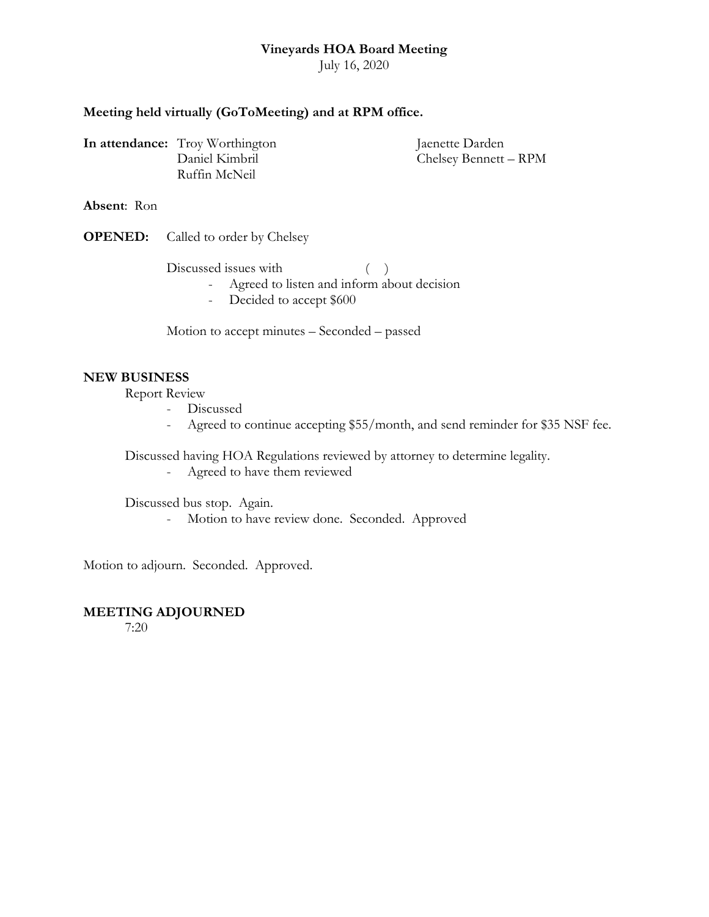July 16, 2020

# **Meeting held virtually (GoToMeeting) and at RPM office.**

**In attendance:** Troy Worthington Jaenette Darden Ruffin McNeil

Daniel Kimbril Chelsey Bennett – RPM

**Absent**: Ron

**OPENED:** Called to order by Chelsey

 $Discussed issues with$   $( )$ 

- Agreed to listen and inform about decision
- Decided to accept \$600

Motion to accept minutes – Seconded – passed

# **NEW BUSINESS**

Report Review

- Discussed
- Agreed to continue accepting \$55/month, and send reminder for \$35 NSF fee.

Discussed having HOA Regulations reviewed by attorney to determine legality.

- Agreed to have them reviewed

Discussed bus stop. Again.

- Motion to have review done. Seconded. Approved

Motion to adjourn. Seconded. Approved.

# **MEETING ADJOURNED**

7:20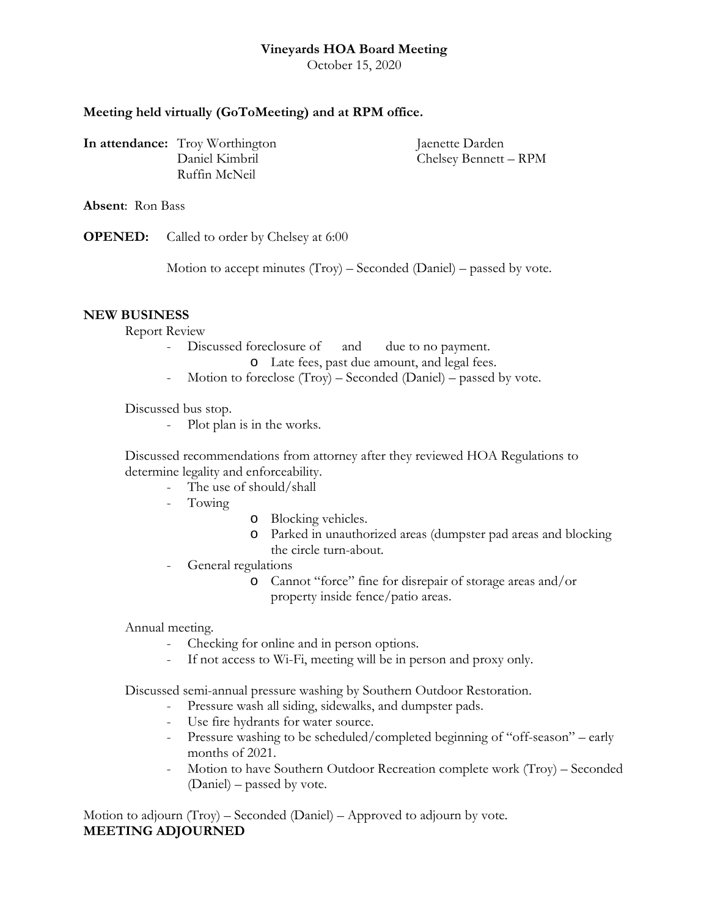October 15, 2020

# **Meeting held virtually (GoToMeeting) and at RPM office.**

**In attendance:** Troy Worthington Jaenette Darden Ruffin McNeil

Daniel Kimbril Chelsey Bennett – RPM

**Absent**: Ron Bass

**OPENED:** Called to order by Chelsey at 6:00

Motion to accept minutes (Troy) – Seconded (Daniel) – passed by vote.

#### **NEW BUSINESS**

Report Review

- Discussed foreclosure of and due to no payment.
	- o Late fees, past due amount, and legal fees.
- Motion to foreclose (Troy) Seconded (Daniel) passed by vote.

Discussed bus stop.

- Plot plan is in the works.

Discussed recommendations from attorney after they reviewed HOA Regulations to determine legality and enforceability.

- The use of should/shall
- Towing
- o Blocking vehicles.
- o Parked in unauthorized areas (dumpster pad areas and blocking the circle turn-about.
- General regulations
	- o Cannot "force" fine for disrepair of storage areas and/or property inside fence/patio areas.

Annual meeting.

- Checking for online and in person options.
- If not access to Wi-Fi, meeting will be in person and proxy only.

Discussed semi-annual pressure washing by Southern Outdoor Restoration.

- Pressure wash all siding, sidewalks, and dumpster pads.
- Use fire hydrants for water source.
- Pressure washing to be scheduled/completed beginning of "off-season" early months of 2021.
- Motion to have Southern Outdoor Recreation complete work (Troy) Seconded (Daniel) – passed by vote.

Motion to adjourn (Troy) – Seconded (Daniel) – Approved to adjourn by vote. **MEETING ADJOURNED**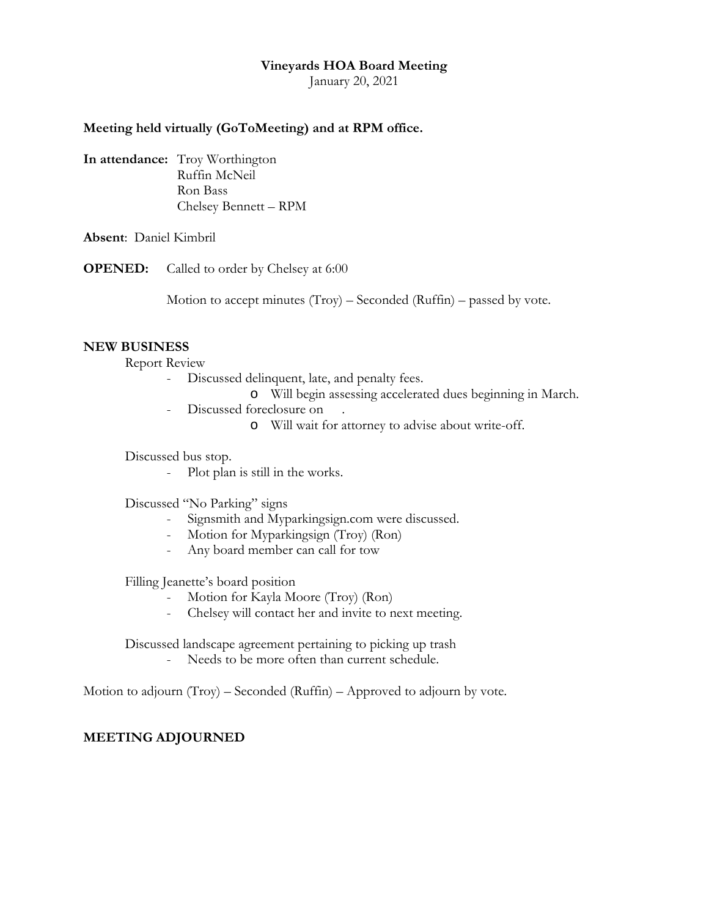January 20, 2021

#### **Meeting held virtually (GoToMeeting) and at RPM office.**

**In attendance:** Troy Worthington Ruffin McNeil Ron Bass Chelsey Bennett – RPM

**Absent**: Daniel Kimbril

**OPENED:** Called to order by Chelsey at 6:00

Motion to accept minutes  $(Troy)$  – Seconded  $(Ruffin)$  – passed by vote.

#### **NEW BUSINESS**

Report Review

- Discussed delinquent, late, and penalty fees.
	- o Will begin assessing accelerated dues beginning in March.
- Discussed foreclosure on .
	- o Will wait for attorney to advise about write-off.

Discussed bus stop.

- Plot plan is still in the works.

Discussed "No Parking" signs

- Signsmith and Myparkingsign.com were discussed.
- Motion for Myparkingsign (Troy) (Ron)
- Any board member can call for tow

Filling Jeanette's board position

- Motion for Kayla Moore (Troy) (Ron)
- Chelsey will contact her and invite to next meeting.

Discussed landscape agreement pertaining to picking up trash

- Needs to be more often than current schedule.

Motion to adjourn (Troy) – Seconded (Ruffin) – Approved to adjourn by vote.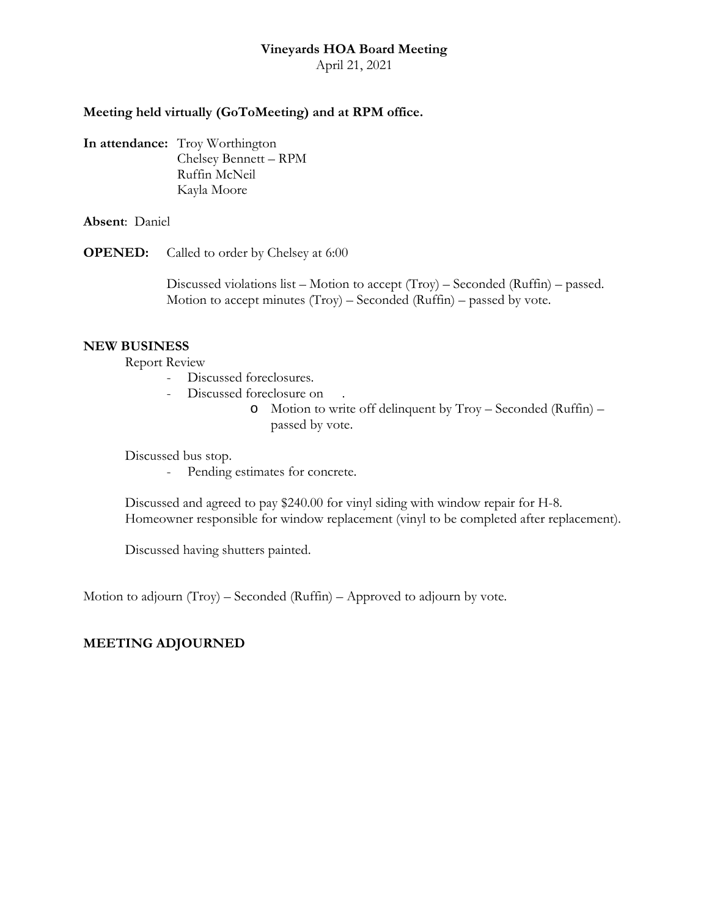April 21, 2021

# **Meeting held virtually (GoToMeeting) and at RPM office.**

**In attendance:** Troy Worthington Chelsey Bennett – RPM Ruffin McNeil Kayla Moore

**Absent**: Daniel

**OPENED:** Called to order by Chelsey at 6:00

Discussed violations list – Motion to accept (Troy) – Seconded (Ruffin) – passed. Motion to accept minutes  $(Troy) - Seconded (Ruffin) - passed by vote.$ 

#### **NEW BUSINESS**

Report Review

- Discussed foreclosures.
- Discussed foreclosure on
	- o Motion to write off delinquent by Troy Seconded (Ruffin) passed by vote.

Discussed bus stop.

- Pending estimates for concrete.

Discussed and agreed to pay \$240.00 for vinyl siding with window repair for H-8. Homeowner responsible for window replacement (vinyl to be completed after replacement).

Discussed having shutters painted.

Motion to adjourn (Troy) – Seconded (Ruffin) – Approved to adjourn by vote.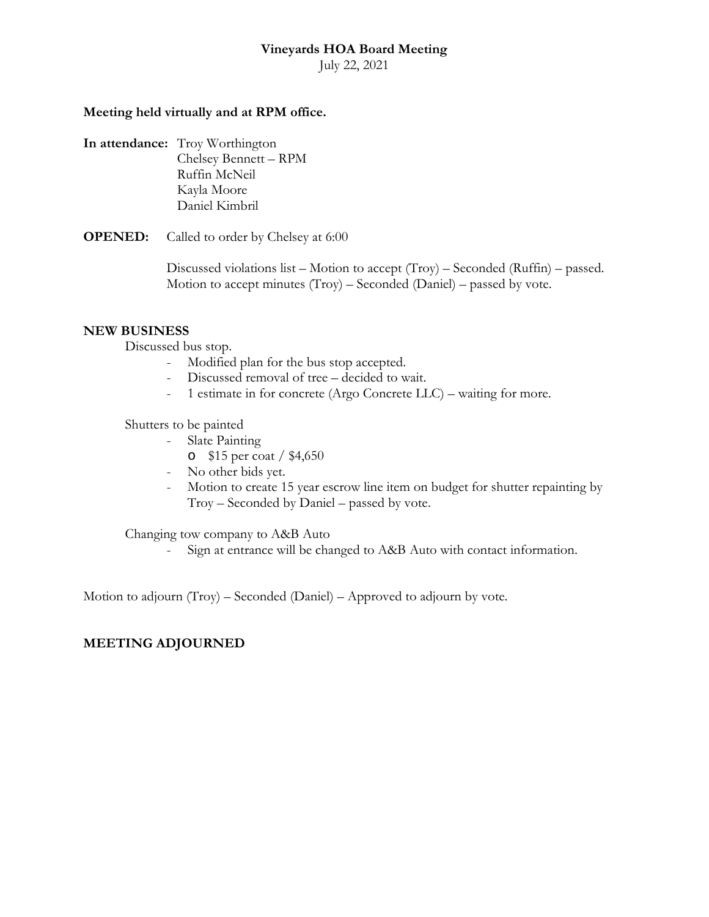July 22, 2021

### **Meeting held virtually and at RPM office.**

**In attendance:** Troy Worthington Chelsey Bennett – RPM Ruffin McNeil Kayla Moore Daniel Kimbril

**OPENED:** Called to order by Chelsey at 6:00

Discussed violations list – Motion to accept (Troy) – Seconded (Ruffin) – passed. Motion to accept minutes  $(Troy) - Seconded (Daniel) - passed by vote.$ 

#### **NEW BUSINESS**

Discussed bus stop.

- Modified plan for the bus stop accepted.
- Discussed removal of tree decided to wait.
- 1 estimate in for concrete (Argo Concrete LLC) waiting for more.

Shutters to be painted

- Slate Painting
	- o \$15 per coat / \$4,650
- No other bids yet.
- Motion to create 15 year escrow line item on budget for shutter repainting by Troy – Seconded by Daniel – passed by vote.

Changing tow company to A&B Auto

- Sign at entrance will be changed to A&B Auto with contact information.

Motion to adjourn (Troy) – Seconded (Daniel) – Approved to adjourn by vote.